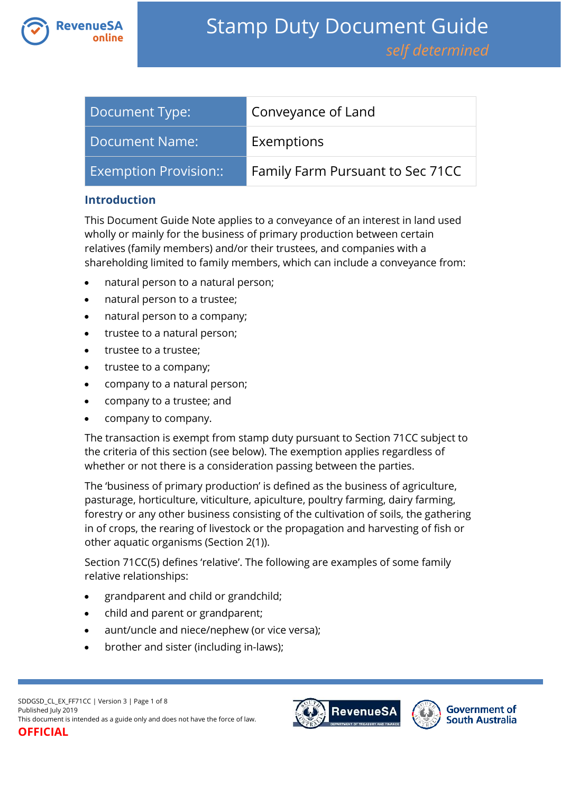

| Document Type:               | Conveyance of Land               |
|------------------------------|----------------------------------|
| Document Name:               | Exemptions                       |
| <b>Exemption Provision::</b> | Family Farm Pursuant to Sec 71CC |

### **Introduction**

This Document Guide Note applies to a conveyance of an interest in land used wholly or mainly for the business of primary production between certain relatives (family members) and/or their trustees, and companies with a shareholding limited to family members, which can include a conveyance from:

- natural person to a natural person;
- natural person to a trustee;
- natural person to a company;
- trustee to a natural person;
- trustee to a trustee;
- trustee to a company;
- company to a natural person;
- company to a trustee; and
- company to company.

The transaction is exempt from stamp duty pursuant to Section 71CC subject to the criteria of this section (see below). The exemption applies regardless of whether or not there is a consideration passing between the parties.

The 'business of primary production' is defined as the business of agriculture, pasturage, horticulture, viticulture, apiculture, poultry farming, dairy farming, forestry or any other business consisting of the cultivation of soils, the gathering in of crops, the rearing of livestock or the propagation and harvesting of fish or other aquatic organisms (Section 2(1)).

Section 71CC(5) defines 'relative'. The following are examples of some family relative relationships:

- grandparent and child or grandchild;
- child and parent or grandparent;
- aunt/uncle and niece/nephew (or vice versa);
- brother and sister (including in-laws);



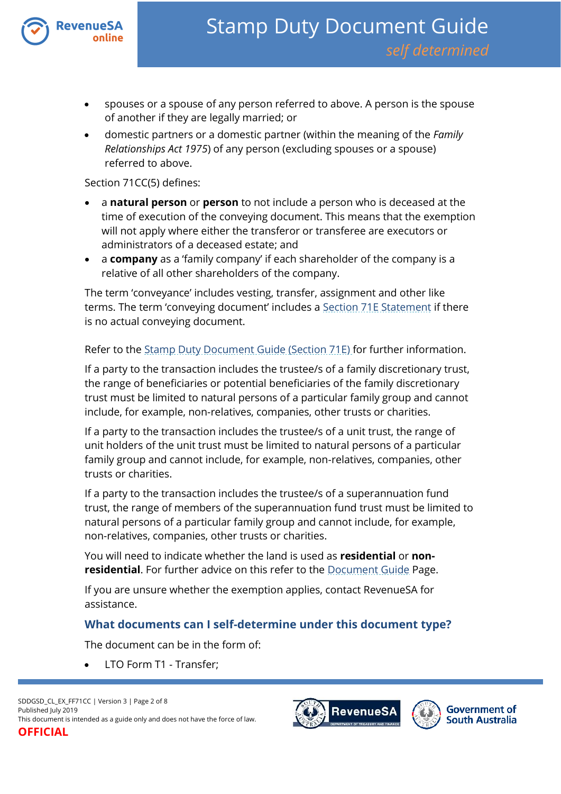

- spouses or a spouse of any person referred to above. A person is the spouse of another if they are legally married; or
- domestic partners or a domestic partner (within the meaning of the *Family Relationships Act 1975*) of any person (excluding spouses or a spouse) referred to above.

#### Section 71CC(5) defines:

- a **natural person** or **person** to not include a person who is deceased at the time of execution of the conveying document. This means that the exemption will not apply where either the transferor or transferee are executors or administrators of a deceased estate; and
- a **company** as a 'family company' if each shareholder of the company is a relative of all other shareholders of the company.

The term 'conveyance' includes vesting, transfer, assignment and other like terms. The term 'conveying document' includes a [Section 71E Statement](https://www.revenuesa.sa.gov.au/forms-and-publications/documents/forms/71estatement.pdf) if there is no actual conveying document.

Refer to the [Stamp Duty Document](https://www.revenuesa.sa.gov.au/stampduty/stamp-duty-document-guide/section71e) Guide (Section 71E) for further information.

If a party to the transaction includes the trustee/s of a family discretionary trust, the range of beneficiaries or potential beneficiaries of the family discretionary trust must be limited to natural persons of a particular family group and cannot include, for example, non-relatives, companies, other trusts or charities.

If a party to the transaction includes the trustee/s of a unit trust, the range of unit holders of the unit trust must be limited to natural persons of a particular family group and cannot include, for example, non-relatives, companies, other trusts or charities.

If a party to the transaction includes the trustee/s of a superannuation fund trust, the range of members of the superannuation fund trust must be limited to natural persons of a particular family group and cannot include, for example, non-relatives, companies, other trusts or charities.

You will need to indicate whether the land is used as **residential** or **nonresidential**. For further advice on this refer to the [Document Guide](https://www.revenuesa.sa.gov.au/stampduty/stamp-duty-document-guide#Glossary) Page.

If you are unsure whether the exemption applies, contact RevenueSA for assistance.

## **What documents can I self-determine under this document type?**

The document can be in the form of:

LTO Form T1 - Transfer;



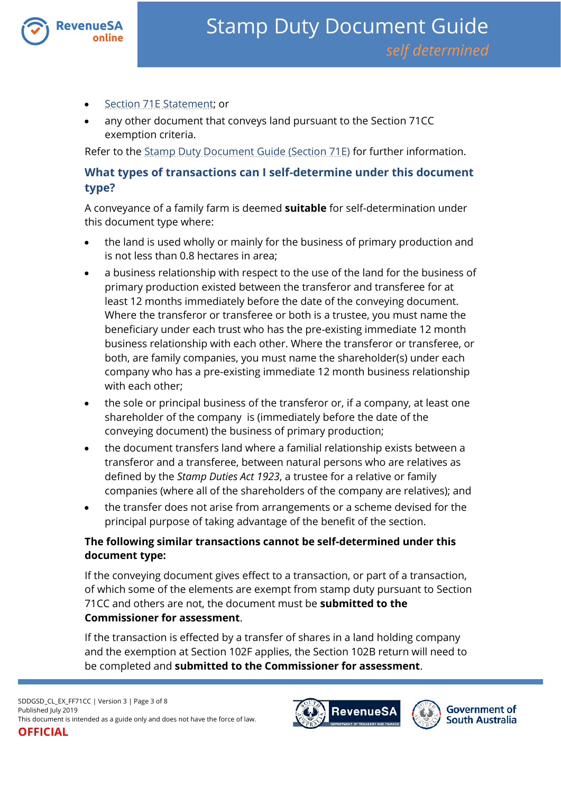

- [Section 71E Statement;](https://www.revenuesa.sa.gov.au/forms-and-publications/documents/forms/71estatement.pdf) or
- any other document that conveys land pursuant to the Section 71CC exemption criteria.

Refer to the [Stamp Duty Document Guide \(Section 71E\)](https://www.revenuesa.sa.gov.au/stampduty/stamp-duty-document-guide/section71e) for further information.

# **What types of transactions can I self-determine under this document type?**

A conveyance of a family farm is deemed **suitable** for self-determination under this document type where:

- the land is used wholly or mainly for the business of primary production and is not less than 0.8 hectares in area;
- a business relationship with respect to the use of the land for the business of primary production existed between the transferor and transferee for at least 12 months immediately before the date of the conveying document. Where the transferor or transferee or both is a trustee, you must name the beneficiary under each trust who has the pre-existing immediate 12 month business relationship with each other. Where the transferor or transferee, or both, are family companies, you must name the shareholder(s) under each company who has a pre-existing immediate 12 month business relationship with each other;
- the sole or principal business of the transferor or, if a company, at least one shareholder of the company is (immediately before the date of the conveying document) the business of primary production;
- the document transfers land where a familial relationship exists between a transferor and a transferee, between natural persons who are relatives as defined by the *Stamp Duties Act 1923*, a trustee for a relative or family companies (where all of the shareholders of the company are relatives); and
- the transfer does not arise from arrangements or a scheme devised for the principal purpose of taking advantage of the benefit of the section.

## **The following similar transactions cannot be self-determined under this document type:**

If the conveying document gives effect to a transaction, or part of a transaction, of which some of the elements are exempt from stamp duty pursuant to Section 71CC and others are not, the document must be **submitted to the Commissioner for assessment**.

If the transaction is effected by a transfer of shares in a land holding company and the exemption at Section 102F applies, the Section 102B return will need to be completed and **submitted to the Commissioner for assessment**.

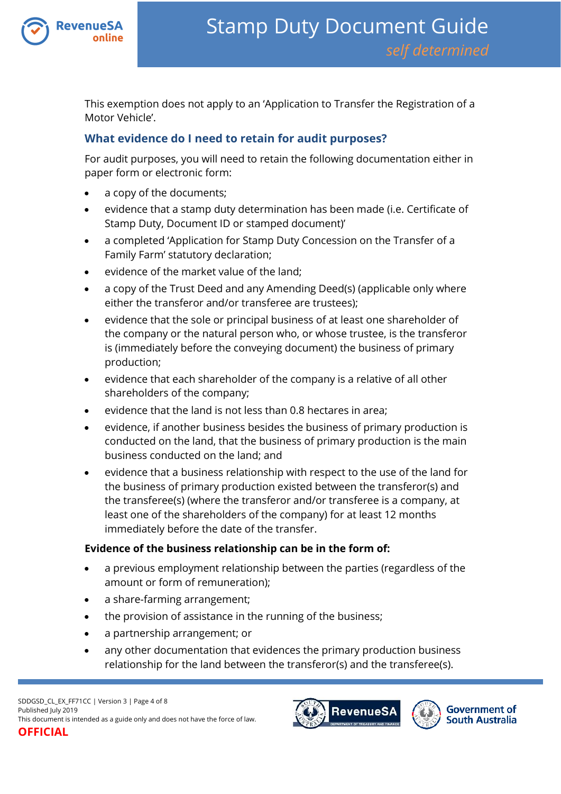

This exemption does not apply to an 'Application to Transfer the Registration of a Motor Vehicle'.

# **What evidence do I need to retain for audit purposes?**

For audit purposes, you will need to retain the following documentation either in paper form or electronic form:

- a copy of the documents;
- evidence that a stamp duty determination has been made (i.e. Certificate of Stamp Duty, Document ID or stamped document)'
- a completed 'Application for Stamp Duty Concession on the Transfer of a Family Farm' statutory declaration;
- evidence of the market value of the land;
- a copy of the Trust Deed and any Amending Deed(s) (applicable only where either the transferor and/or transferee are trustees);
- evidence that the sole or principal business of at least one shareholder of the company or the natural person who, or whose trustee, is the transferor is (immediately before the conveying document) the business of primary production;
- evidence that each shareholder of the company is a relative of all other shareholders of the company;
- evidence that the land is not less than  $0.8$  hectares in area:
- evidence, if another business besides the business of primary production is conducted on the land, that the business of primary production is the main business conducted on the land; and
- evidence that a business relationship with respect to the use of the land for the business of primary production existed between the transferor(s) and the transferee(s) (where the transferor and/or transferee is a company, at least one of the shareholders of the company) for at least 12 months immediately before the date of the transfer.

## **Evidence of the business relationship can be in the form of:**

- a previous employment relationship between the parties (regardless of the amount or form of remuneration);
- a share-farming arrangement;
- the provision of assistance in the running of the business;
- a partnership arrangement; or
- any other documentation that evidences the primary production business relationship for the land between the transferor(s) and the transferee(s).

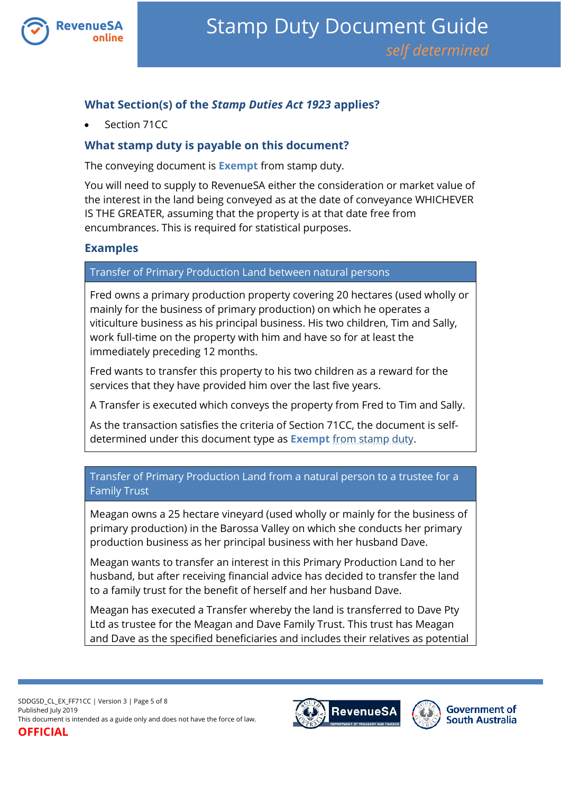

# **What Section(s) of the** *Stamp Duties Act 1923* **applies?**

Section 71CC

# **What stamp duty is payable on this document?**

The conveying document is **Exempt** from stamp duty.

You will need to supply to RevenueSA either the consideration or market value of the interest in the land being conveyed as at the date of conveyance WHICHEVER IS THE GREATER, assuming that the property is at that date free from encumbrances. This is required for statistical purposes.

## **Examples**

Transfer of Primary Production Land between natural persons

Fred owns a primary production property covering 20 hectares (used wholly or mainly for the business of primary production) on which he operates a viticulture business as his principal business. His two children, Tim and Sally, work full-time on the property with him and have so for at least the immediately preceding 12 months.

Fred wants to transfer this property to his two children as a reward for the services that they have provided him over the last five years.

A Transfer is executed which conveys the property from Fred to Tim and Sally.

As the transaction satisfies the criteria of Section 71CC, the document is selfdetermined under this document type as **Exempt** from stamp duty.

## Transfer of Primary Production Land from a natural person to a trustee for a Family Trust

Meagan owns a 25 hectare vineyard (used wholly or mainly for the business of primary production) in the Barossa Valley on which she conducts her primary production business as her principal business with her husband Dave.

Meagan wants to transfer an interest in this Primary Production Land to her husband, but after receiving financial advice has decided to transfer the land to a family trust for the benefit of herself and her husband Dave.

Meagan has executed a Transfer whereby the land is transferred to Dave Pty Ltd as trustee for the Meagan and Dave Family Trust. This trust has Meagan and Dave as the specified beneficiaries and includes their relatives as potential

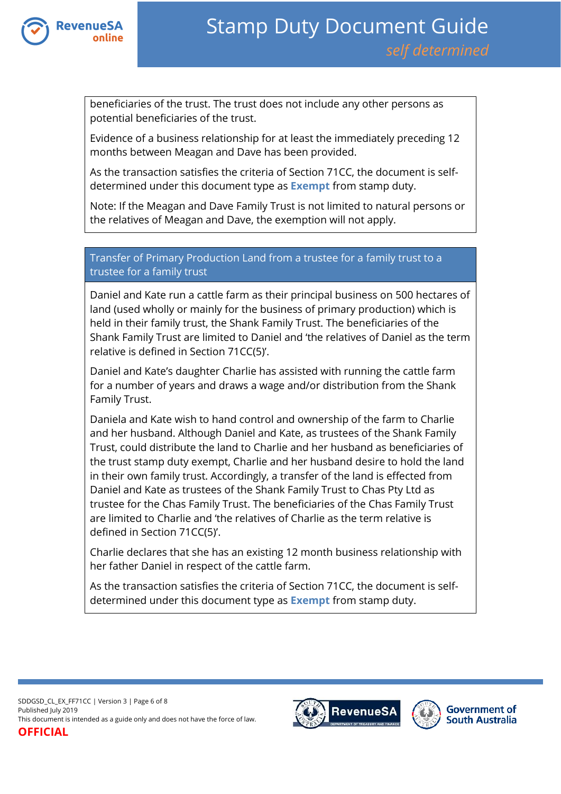

beneficiaries of the trust. The trust does not include any other persons as potential beneficiaries of the trust.

Evidence of a business relationship for at least the immediately preceding 12 months between Meagan and Dave has been provided.

As the transaction satisfies the criteria of Section 71CC, the document is selfdetermined under this document type as **Exempt** from stamp duty.

Note: If the Meagan and Dave Family Trust is not limited to natural persons or the relatives of Meagan and Dave, the exemption will not apply.

## Transfer of Primary Production Land from a trustee for a family trust to a trustee for a family trust

Daniel and Kate run a cattle farm as their principal business on 500 hectares of land (used wholly or mainly for the business of primary production) which is held in their family trust, the Shank Family Trust. The beneficiaries of the Shank Family Trust are limited to Daniel and 'the relatives of Daniel as the term relative is defined in Section 71CC(5)'.

Daniel and Kate's daughter Charlie has assisted with running the cattle farm for a number of years and draws a wage and/or distribution from the Shank Family Trust.

Daniela and Kate wish to hand control and ownership of the farm to Charlie and her husband. Although Daniel and Kate, as trustees of the Shank Family Trust, could distribute the land to Charlie and her husband as beneficiaries of the trust stamp duty exempt, Charlie and her husband desire to hold the land in their own family trust. Accordingly, a transfer of the land is effected from Daniel and Kate as trustees of the Shank Family Trust to Chas Pty Ltd as trustee for the Chas Family Trust. The beneficiaries of the Chas Family Trust are limited to Charlie and 'the relatives of Charlie as the term relative is defined in Section 71CC(5)'.

Charlie declares that she has an existing 12 month business relationship with her father Daniel in respect of the cattle farm.

As the transaction satisfies the criteria of Section 71CC, the document is selfdetermined under this document type as **Exempt** from stamp duty.

SDDGSD\_CL\_EX\_FF71CC | Version 3 | Page 6 of 8 Published July 2019 This document is intended as a guide only and does not have the force of law. **OFFICIAL**



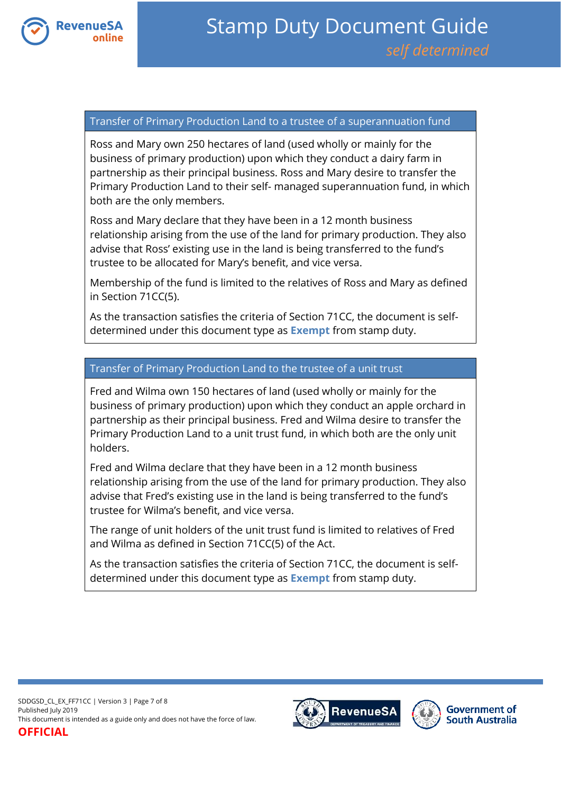

#### Transfer of Primary Production Land to a trustee of a superannuation fund

Ross and Mary own 250 hectares of land (used wholly or mainly for the business of primary production) upon which they conduct a dairy farm in partnership as their principal business. Ross and Mary desire to transfer the Primary Production Land to their self- managed superannuation fund, in which both are the only members.

Ross and Mary declare that they have been in a 12 month business relationship arising from the use of the land for primary production. They also advise that Ross' existing use in the land is being transferred to the fund's trustee to be allocated for Mary's benefit, and vice versa.

Membership of the fund is limited to the relatives of Ross and Mary as defined in Section 71CC(5).

As the transaction satisfies the criteria of Section 71CC, the document is selfdetermined under this document type as **Exempt** from stamp duty.

### Transfer of Primary Production Land to the trustee of a unit trust

Fred and Wilma own 150 hectares of land (used wholly or mainly for the business of primary production) upon which they conduct an apple orchard in partnership as their principal business. Fred and Wilma desire to transfer the Primary Production Land to a unit trust fund, in which both are the only unit holders.

Fred and Wilma declare that they have been in a 12 month business relationship arising from the use of the land for primary production. They also advise that Fred's existing use in the land is being transferred to the fund's trustee for Wilma's benefit, and vice versa.

The range of unit holders of the unit trust fund is limited to relatives of Fred and Wilma as defined in Section 71CC(5) of the Act.

As the transaction satisfies the criteria of Section 71CC, the document is selfdetermined under this document type as **Exempt** from stamp duty.